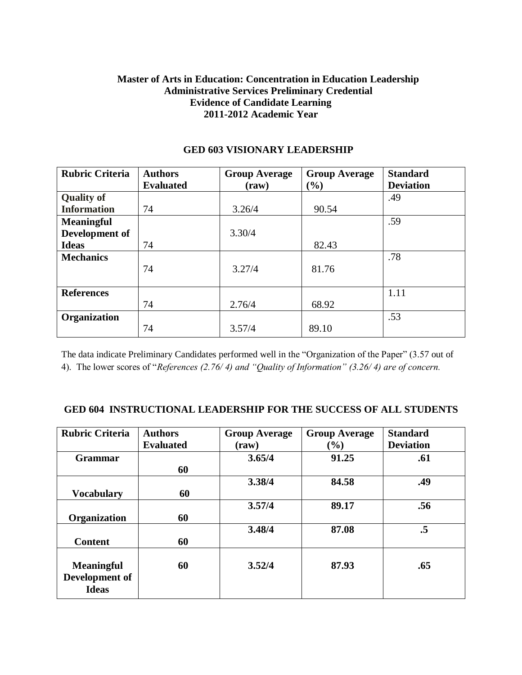# **Master of Arts in Education: Concentration in Education Leadership Administrative Services Preliminary Credential Evidence of Candidate Learning 2011-2012 Academic Year**

| <b>Rubric Criteria</b> | <b>Authors</b>   | <b>Group Average</b> | <b>Group Average</b>         | <b>Standard</b>  |
|------------------------|------------------|----------------------|------------------------------|------------------|
|                        | <b>Evaluated</b> | $(\text{raw})$       | $\left( \frac{0}{0} \right)$ | <b>Deviation</b> |
| <b>Quality of</b>      |                  |                      |                              | .49              |
| <b>Information</b>     | 74               | 3.26/4               | 90.54                        |                  |
| <b>Meaningful</b>      |                  |                      |                              | .59              |
| Development of         |                  | 3.30/4               |                              |                  |
| <b>Ideas</b>           | 74               |                      | 82.43                        |                  |
| <b>Mechanics</b>       |                  |                      |                              | .78              |
|                        | 74               | 3.27/4               | 81.76                        |                  |
|                        |                  |                      |                              |                  |
| <b>References</b>      |                  |                      |                              | 1.11             |
|                        | 74               | 2.76/4               | 68.92                        |                  |
| Organization           |                  |                      |                              | .53              |
|                        | 74               | 3.57/4               | 89.10                        |                  |

## **GED 603 VISIONARY LEADERSHIP**

The data indicate Preliminary Candidates performed well in the "Organization of the Paper" (3.57 out of 4). The lower scores of "*References (2.76/ 4) and "Quality of Information" (3.26/ 4) are of concern.*

### **GED 604 INSTRUCTIONAL LEADERSHIP FOR THE SUCCESS OF ALL STUDENTS**

| <b>Rubric Criteria</b>                              | <b>Authors</b><br><b>Evaluated</b> | <b>Group Average</b><br>$(\mathbf{raw})$ | <b>Group Average</b><br>$($ %) | <b>Standard</b><br><b>Deviation</b> |
|-----------------------------------------------------|------------------------------------|------------------------------------------|--------------------------------|-------------------------------------|
| <b>Grammar</b>                                      | 60                                 | 3.65/4                                   | 91.25                          | .61                                 |
| <b>Vocabulary</b>                                   | 60                                 | 3.38/4                                   | 84.58                          | .49                                 |
| Organization                                        | 60                                 | 3.57/4                                   | 89.17                          | .56                                 |
| <b>Content</b>                                      | 60                                 | 3.48/4                                   | 87.08                          | $\cdot$ 5                           |
| <b>Meaningful</b><br>Development of<br><b>Ideas</b> | 60                                 | 3.52/4                                   | 87.93                          | .65                                 |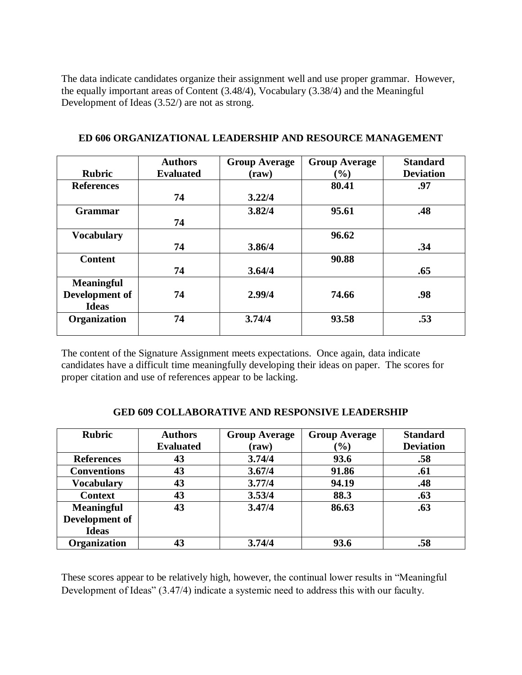The data indicate candidates organize their assignment well and use proper grammar. However, the equally important areas of Content (3.48/4), Vocabulary (3.38/4) and the Meaningful Development of Ideas (3.52/) are not as strong.

|                   | <b>Authors</b>   | <b>Group Average</b> | <b>Group Average</b> | <b>Standard</b>  |
|-------------------|------------------|----------------------|----------------------|------------------|
| <b>Rubric</b>     | <b>Evaluated</b> | (raw)                | (%)                  | <b>Deviation</b> |
| <b>References</b> |                  |                      | 80.41                | .97              |
|                   | 74               | 3.22/4               |                      |                  |
| <b>Grammar</b>    |                  | 3.82/4               | 95.61                | .48              |
|                   | 74               |                      |                      |                  |
| <b>Vocabulary</b> |                  |                      | 96.62                |                  |
|                   | 74               | 3.86/4               |                      | .34              |
| <b>Content</b>    |                  |                      | 90.88                |                  |
|                   | 74               | 3.64/4               |                      | .65              |
| <b>Meaningful</b> |                  |                      |                      |                  |
| Development of    | 74               | 2.99/4               | 74.66                | .98              |
| <b>Ideas</b>      |                  |                      |                      |                  |
| Organization      | 74               | 3.74/4               | 93.58                | .53              |
|                   |                  |                      |                      |                  |

### **ED 606 ORGANIZATIONAL LEADERSHIP AND RESOURCE MANAGEMENT**

The content of the Signature Assignment meets expectations. Once again, data indicate candidates have a difficult time meaningfully developing their ideas on paper. The scores for proper citation and use of references appear to be lacking.

| <b>Rubric</b>       | <b>Authors</b>   |                      |                      | <b>Standard</b>  |
|---------------------|------------------|----------------------|----------------------|------------------|
|                     |                  | <b>Group Average</b> | <b>Group Average</b> |                  |
|                     | <b>Evaluated</b> | (raw)                | $(\%)$               | <b>Deviation</b> |
| <b>References</b>   | 43               | 3.74/4               | 93.6                 | .58              |
| <b>Conventions</b>  | 43               | 3.67/4               | 91.86                | .61              |
| <b>Vocabulary</b>   | 43               | 3.77/4               | 94.19                | .48              |
| <b>Context</b>      | 43               | 3.53/4               | 88.3                 | .63              |
| <b>Meaningful</b>   | 43               | 3.47/4               | 86.63                | .63              |
| Development of      |                  |                      |                      |                  |
| <b>Ideas</b>        |                  |                      |                      |                  |
| <b>Organization</b> | 43               | 3.74/4               | 93.6                 | .58              |

#### **GED 609 COLLABORATIVE AND RESPONSIVE LEADERSHIP**

These scores appear to be relatively high, however, the continual lower results in "Meaningful Development of Ideas" (3.47/4) indicate a systemic need to address this with our faculty.